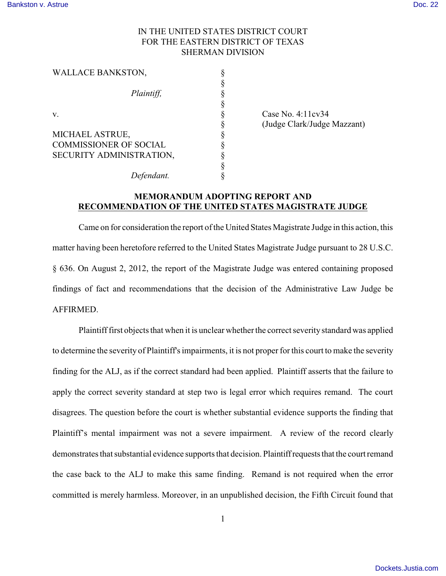## IN THE UNITED STATES DISTRICT COURT FOR THE EASTERN DISTRICT OF TEXAS SHERMAN DIVISION

| <b>WALLACE BANKSTON,</b>      |   |
|-------------------------------|---|
|                               |   |
| Plaintiff,                    |   |
|                               |   |
| v.                            |   |
|                               |   |
| MICHAEL ASTRUE,               | § |
| <b>COMMISSIONER OF SOCIAL</b> | ş |
| SECURITY ADMINISTRATION,      | § |
|                               | ş |
| Defendant.                    |   |

Case No.  $4:11c<sub>v</sub>34$ § (Judge Clark/Judge Mazzant)

## **MEMORANDUM ADOPTING REPORT AND RECOMMENDATION OF THE UNITED STATES MAGISTRATE JUDGE**

Came on for consideration the report of the United States Magistrate Judge in this action, this matter having been heretofore referred to the United States Magistrate Judge pursuant to 28 U.S.C. § 636. On August 2, 2012, the report of the Magistrate Judge was entered containing proposed findings of fact and recommendations that the decision of the Administrative Law Judge be AFFIRMED.

Plaintiff first objects that when it is unclear whether the correct severity standard was applied to determine the severity of Plaintiff's impairments, it is not proper for this court to make the severity finding for the ALJ, as if the correct standard had been applied. Plaintiff asserts that the failure to apply the correct severity standard at step two is legal error which requires remand. The court disagrees. The question before the court is whether substantial evidence supports the finding that Plaintiff's mental impairment was not a severe impairment. A review of the record clearly demonstrates that substantial evidence supports that decision. Plaintiff requests that the court remand the case back to the ALJ to make this same finding. Remand is not required when the error committed is merely harmless. Moreover, in an unpublished decision, the Fifth Circuit found that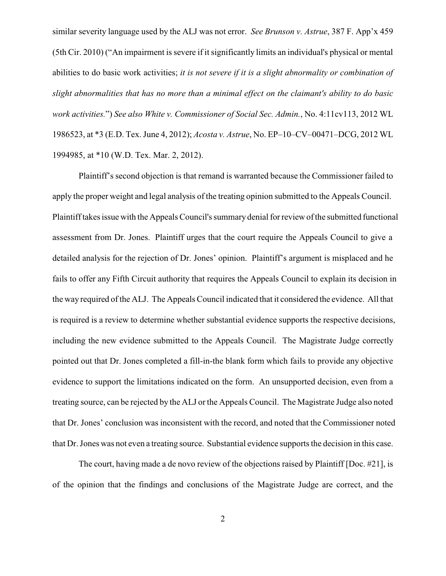similar severity language used by the ALJ was not error. *See Brunson v. Astrue*, 387 F. App'x 459 (5th Cir. 2010) ("An impairment is severe if it significantly limits an individual's physical or mental abilities to do basic work activities; *it is not severe if it is a slight abnormality or combination of slight abnormalities that has no more than a minimal effect on the claimant's ability to do basic work activities.*") *See also White v. Commissioner of Social Sec. Admin.*, No. 4:11cv113, 2012 WL 1986523, at \*3 (E.D. Tex. June 4, 2012); *Acosta v. Astrue*, No. EP–10–CV–00471–DCG, 2012 WL 1994985, at \*10 (W.D. Tex. Mar. 2, 2012).

Plaintiff's second objection is that remand is warranted because the Commissioner failed to apply the proper weight and legal analysis of the treating opinion submitted to the Appeals Council. Plaintiff takes issue with the Appeals Council's summary denial for review of the submitted functional assessment from Dr. Jones. Plaintiff urges that the court require the Appeals Council to give a detailed analysis for the rejection of Dr. Jones' opinion. Plaintiff's argument is misplaced and he fails to offer any Fifth Circuit authority that requires the Appeals Council to explain its decision in the way required of the ALJ. The Appeals Council indicated that it considered the evidence. All that is required is a review to determine whether substantial evidence supports the respective decisions, including the new evidence submitted to the Appeals Council. The Magistrate Judge correctly pointed out that Dr. Jones completed a fill-in-the blank form which fails to provide any objective evidence to support the limitations indicated on the form. An unsupported decision, even from a treating source, can be rejected by the ALJ or the Appeals Council. The Magistrate Judge also noted that Dr. Jones' conclusion was inconsistent with the record, and noted that the Commissioner noted that Dr. Jones was not even a treating source. Substantial evidence supports the decision in this case.

The court, having made a de novo review of the objections raised by Plaintiff [Doc. #21], is of the opinion that the findings and conclusions of the Magistrate Judge are correct, and the